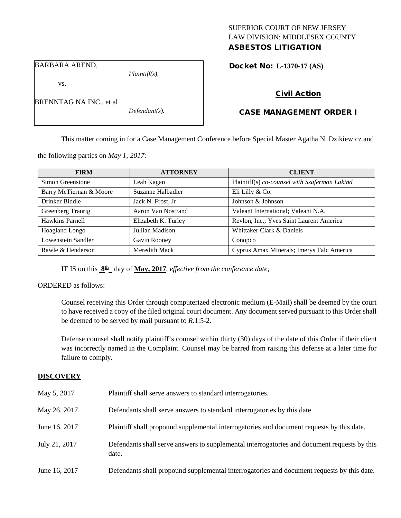# SUPERIOR COURT OF NEW JERSEY LAW DIVISION: MIDDLESEX COUNTY ASBESTOS LITIGATION

BARBARA AREND,

BRENNTAG NA INC., et al

vs.

*Plaintiff(s),*

*Defendant(s).*

Docket No: **L-1370-17 (AS)** 

# CASE MANAGEMENT ORDER I

Civil Action

This matter coming in for a Case Management Conference before Special Master Agatha N. Dzikiewicz and

the following parties on *May 1, 2017:*

| <b>FIRM</b>             | <b>ATTORNEY</b>     | <b>CLIENT</b>                                 |
|-------------------------|---------------------|-----------------------------------------------|
| Simon Greenstone        | Leah Kagan          | Plaintiff(s) co-counsel with Szaferman Lakind |
| Barry McTiernan & Moore | Suzanne Halbadier   | Eli Lilly & Co.                               |
| Drinker Biddle          | Jack N. Frost, Jr.  | Johnson & Johnson                             |
| Greenberg Traurig       | Aaron Van Nostrand  | Valeant International; Valeant N.A.           |
| Hawkins Parnell         | Elizabeth K. Turley | Revlon, Inc.; Yves Saint Laurent America      |
| Hoagland Longo          | Jullian Madison     | Whittaker Clark & Daniels                     |
| Lowenstein Sandler      | Gavin Rooney        | Conopco                                       |
| Rawle & Henderson       | Meredith Mack       | Cyprus Amax Minerals; Imerys Talc America     |

IT IS on this **8th** day of **May, 2017**, *effective from the conference date;*

ORDERED as follows:

Counsel receiving this Order through computerized electronic medium (E-Mail) shall be deemed by the court to have received a copy of the filed original court document. Any document served pursuant to this Order shall be deemed to be served by mail pursuant to *R*.1:5-2.

Defense counsel shall notify plaintiff's counsel within thirty (30) days of the date of this Order if their client was incorrectly named in the Complaint. Counsel may be barred from raising this defense at a later time for failure to comply.

# **DISCOVERY**

| May 5, 2017   | Plaintiff shall serve answers to standard interrogatories.                                            |
|---------------|-------------------------------------------------------------------------------------------------------|
| May 26, 2017  | Defendants shall serve answers to standard interrogatories by this date.                              |
| June 16, 2017 | Plaintiff shall propound supplemental interrogatories and document requests by this date.             |
| July 21, 2017 | Defendants shall serve answers to supplemental interrogatories and document requests by this<br>date. |
| June 16, 2017 | Defendants shall propound supplemental interrogatories and document requests by this date.            |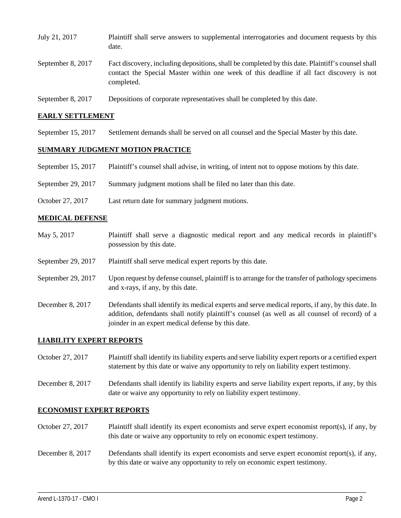| July 21, 2017     | Plaintiff shall serve answers to supplemental interrogatories and document requests by this<br>date.                                                                                                        |
|-------------------|-------------------------------------------------------------------------------------------------------------------------------------------------------------------------------------------------------------|
| September 8, 2017 | Fact discovery, including depositions, shall be completed by this date. Plaintiff's counsel shall<br>contact the Special Master within one week of this deadline if all fact discovery is not<br>completed. |
| September 8, 2017 | Depositions of corporate representatives shall be completed by this date.                                                                                                                                   |

# **EARLY SETTLEMENT**

September 15, 2017 Settlement demands shall be served on all counsel and the Special Master by this date.

## **SUMMARY JUDGMENT MOTION PRACTICE**

- September 15, 2017 Plaintiff's counsel shall advise, in writing, of intent not to oppose motions by this date.
- September 29, 2017 Summary judgment motions shall be filed no later than this date.
- October 27, 2017 Last return date for summary judgment motions.

#### **MEDICAL DEFENSE**

May 5, 2017 Plaintiff shall serve a diagnostic medical report and any medical records in plaintiff's possession by this date. September 29, 2017 Plaintiff shall serve medical expert reports by this date. September 29, 2017 Upon request by defense counsel, plaintiff is to arrange for the transfer of pathology specimens and x-rays, if any, by this date. December 8, 2017 Defendants shall identify its medical experts and serve medical reports, if any, by this date. In addition, defendants shall notify plaintiff's counsel (as well as all counsel of record) of a joinder in an expert medical defense by this date.

#### **LIABILITY EXPERT REPORTS**

- October 27, 2017 Plaintiff shall identify its liability experts and serve liability expert reports or a certified expert statement by this date or waive any opportunity to rely on liability expert testimony.
- December 8, 2017 Defendants shall identify its liability experts and serve liability expert reports, if any, by this date or waive any opportunity to rely on liability expert testimony.

## **ECONOMIST EXPERT REPORTS**

- October 27, 2017 Plaintiff shall identify its expert economists and serve expert economist report(s), if any, by this date or waive any opportunity to rely on economic expert testimony.
- December 8, 2017 Defendants shall identify its expert economists and serve expert economist report(s), if any, by this date or waive any opportunity to rely on economic expert testimony.

\_\_\_\_\_\_\_\_\_\_\_\_\_\_\_\_\_\_\_\_\_\_\_\_\_\_\_\_\_\_\_\_\_\_\_\_\_\_\_\_\_\_\_\_\_\_\_\_\_\_\_\_\_\_\_\_\_\_\_\_\_\_\_\_\_\_\_\_\_\_\_\_\_\_\_\_\_\_\_\_\_\_\_\_\_\_\_\_\_\_\_\_\_\_\_\_\_\_\_\_\_\_\_\_\_\_\_\_\_\_